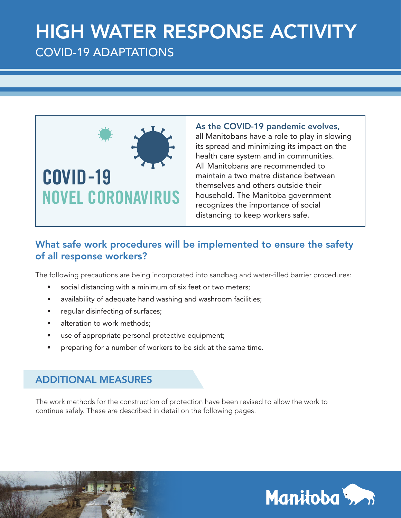# HIGH WATER RESPONSE ACTIVITY COVID-19 ADAPTATIONS



As the COVID-19 pandemic evolves,

all Manitobans have a role to play in slowing its spread and minimizing its impact on the health care system and in communities. All Manitobans are recommended to maintain a two metre distance between themselves and others outside their household. The Manitoba government recognizes the importance of social distancing to keep workers safe.

### What safe work procedures will be implemented to ensure the safety of all response workers?

The following precautions are being incorporated into sandbag and water-filled barrier procedures:

- social distancing with a minimum of six feet or two meters;
- availability of adequate hand washing and washroom facilities;
- regular disinfecting of surfaces;
- alteration to work methods:
- use of appropriate personal protective equipment;
- preparing for a number of workers to be sick at the same time.

### ADDITIONAL MEASURES

The work methods for the construction of protection have been revised to allow the work to continue safely. These are described in detail on the following pages.

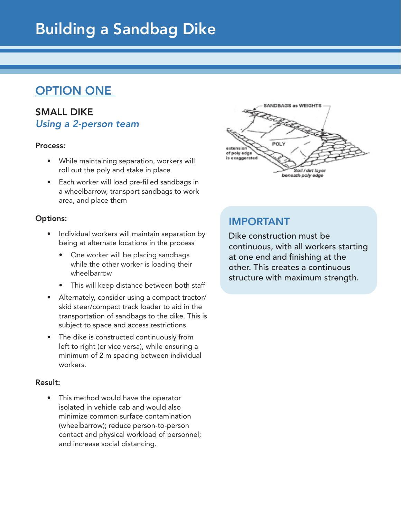# Building a Sandbag Dike

## OPTION ONE

### SMALL DIKE *Using a 2-person team*

#### Process:

- While maintaining separation, workers will roll out the poly and stake in place
- Each worker will load pre-filled sandbags in a wheelbarrow, transport sandbags to work area, and place them

#### Options:

- Individual workers will maintain separation by being at alternate locations in the process
	- One worker will be placing sandbags while the other worker is loading their wheelbarrow
	- This will keep distance between both staff
- Alternately, consider using a compact tractor/ skid steer/compact track loader to aid in the transportation of sandbags to the dike. This is subject to space and access restrictions
- The dike is constructed continuously from left to right (or vice versa), while ensuring a minimum of 2 m spacing between individual workers.

#### Result:

• This method would have the operator isolated in vehicle cab and would also minimize common surface contamination (wheelbarrow); reduce person-to-person contact and physical workload of personnel; and increase social distancing.



### IMPORTANT

Dike construction must be continuous, with all workers starting at one end and finishing at the other. This creates a continuous structure with maximum strength.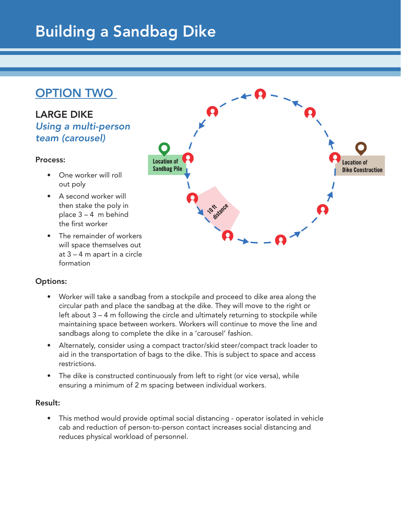# Building a Sandbag Dike

## OPTION TWO

LARGE DIKE *Using a multi-person team (carousel)*

#### Process:

- One worker will roll out poly
- A second worker will then stake the poly in place 3 – 4 m behind the first worker
- The remainder of workers will space themselves out at 3 – 4 m apart in a circle formation



#### Options:

- Worker will take a sandbag from a stockpile and proceed to dike area along the circular path and place the sandbag at the dike. They will move to the right or left about 3 – 4 m following the circle and ultimately returning to stockpile while maintaining space between workers. Workers will continue to move the line and sandbags along to complete the dike in a 'carousel' fashion.
- Alternately, consider using a compact tractor/skid steer/compact track loader to aid in the transportation of bags to the dike. This is subject to space and access restrictions.
- The dike is constructed continuously from left to right (or vice versa), while ensuring a minimum of 2 m spacing between individual workers.

#### Result:

• This method would provide optimal social distancing - operator isolated in vehicle cab and reduction of person-to-person contact increases social distancing and reduces physical workload of personnel.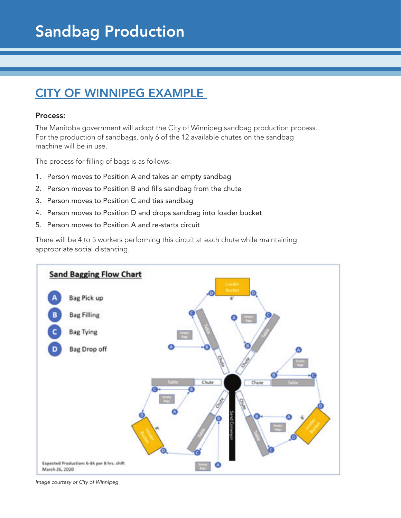# Sandbag Production

## CITY OF WINNIPEG EXAMPLE

#### Process:

The Manitoba government will adopt the City of Winnipeg sandbag production process. For the production of sandbags, only 6 of the 12 available chutes on the sandbag machine will be in use.

The process for filling of bags is as follows:

- 1. Person moves to Position A and takes an empty sandbag
- 2. Person moves to Position B and fills sandbag from the chute
- 3. Person moves to Position C and ties sandbag
- 4. Person moves to Position D and drops sandbag into loader bucket
- 5. Person moves to Position A and re-starts circuit

There will be 4 to 5 workers performing this circuit at each chute while maintaining appropriate social distancing.



*Image courtesy of City of Winnipeg*